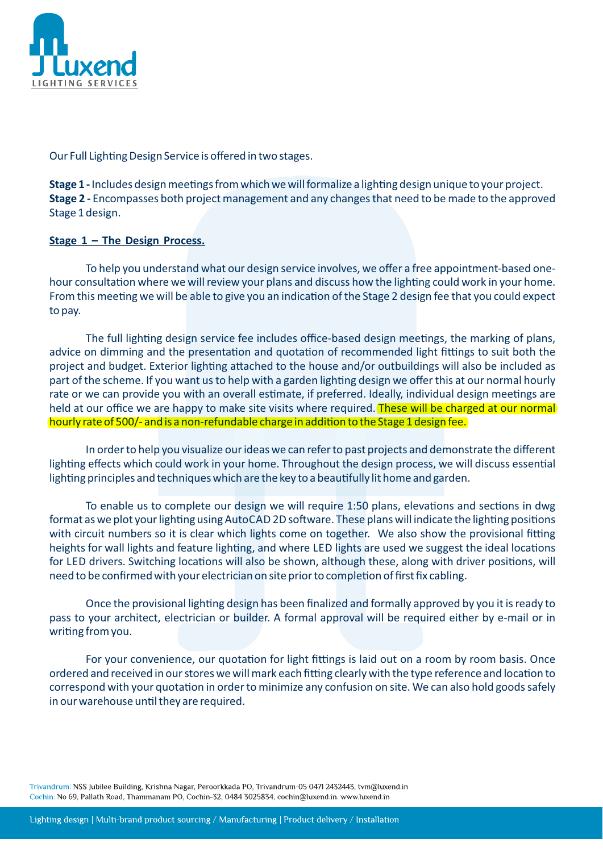

Our Full Lighting Design Service is offered in two stages.

Stage 1 - Includes design meetings from which we will formalize a lighting design unique to your project. **Stage 2 ‐** Encompasses both project management and any changes that need to be made to the approved Stage 1 design.

# **Stage 1 – The Design Process.**

To help you understand what our design service involves, we offer a free appointment‐based one‐ hour consultation where we will review your plans and discuss how the lighting could work in your home. From this meeting we will be able to give you an indication of the Stage 2 design fee that you could expect to pay.

The full lighting design service fee includes office-based design meetings, the marking of plans, advice on dimming and the presentation and quotation of recommended light fittings to suit both the project and budget. Exterior lighting attached to the house and/or outbuildings will also be included as part of the scheme. If you want us to help with a garden lighting design we offer this at our normal hourly rate or we can provide you with an overall estimate, if preferred. Ideally, individual design meetings are held at our office we are happy to make site visits where required. These will be charged at our normal hourly rate of 500/- and is a non-refundable charge in addition to the Stage 1 design fee.

In order to help you visualize our ideas we can refer to past projects and demonstrate the different lighting effects which could work in your home. Throughout the design process, we will discuss essential lighting principles and techniques which are the key to a beautifully lit home and garden.

To enable us to complete our design we will require 1:50 plans, elevations and sections in dwg format as we plot your lighting using AutoCAD 2D software. These plans will indicate the lighting positions with circuit numbers so it is clear which lights come on together. We also show the provisional fitting heights for wall lights and feature lighting, and where LED lights are used we suggest the ideal locations for LED drivers. Switching locations will also be shown, although these, along with driver positions, will need to be confirmed with your electrician on site prior to completion of first fix cabling.

Once the provisional lighting design has been finalized and formally approved by you it is ready to pass to your architect, electrician or builder. A formal approval will be required either by e‐mail or in writing from you.

For your convenience, our quotation for light fittings is laid out on a room by room basis. Once ordered and received in our stores we will mark each fitting clearly with the type reference and location to correspond with your quotation in order to minimize any confusion on site. We can also hold goods safely in our warehouse until they are required.

Trivandrum: NSS Jubilee Building, Krishna Nagar, Peroorkkada PO, Trivandrum-05 0471 2432443, tvm@luxend.in Cochin: No 69, Pallath Road, Thammanam PO, Cochin-32, 0484 3025834, cochin@luxend.in. www.luxend.in